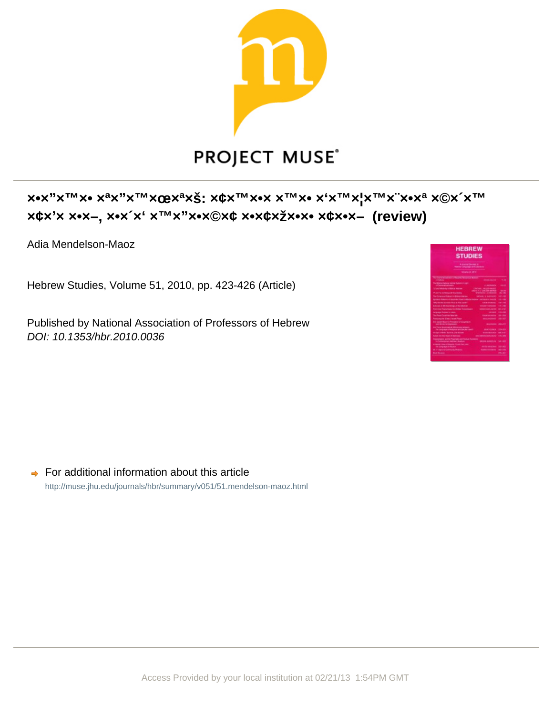

## **x\*\***"x<sup>TM</sup>x\* x<sup>3</sup>x"x<sup>TM</sup>xQBx<sup>3</sup>xŠ; x¢x<sup>TM</sup>x\*x x<sup>TM</sup>x\* x<sup>'</sup>x<sup>TM</sup>x<sup>'</sup>x\*x<sup>a</sup> x©x<sup>'</sup>x<sup>TM</sup> **×¢×'× ×•×–, ו״ב יהושע ועמוו עוז (review)**

Adia Mendelson-Maoz

Hebrew Studies, Volume 51, 2010, pp. 423-426 (Article)

Published by National Association of Professors of Hebrew DOI: 10.1353/hbr.2010.0036

| <b>HEBREW</b><br><b>STUDIES</b><br><b>A Scalar Manager</b> M<br><b>TRANSPORT CURTAINING INTERFERING</b><br><b>Windows In 1974</b> |                                                                  |                                   |
|-----------------------------------------------------------------------------------------------------------------------------------|------------------------------------------------------------------|-----------------------------------|
| No have at show. This is however more<br>--                                                                                       | <b>STATISTICS</b>                                                | <b>Side</b>                       |
| The Montered Hutchison Council Products or coal-<br>of Commission and                                                             | A. MARANDA                                                       | -                                 |
| 100 and Models in 1980s or Miller                                                                                                 | <b>ENVIARY ARRAIGNMENT</b><br>colors in a simple simple and      | 10.01                             |
| <b>The profit of a minimum and minimum data</b>                                                                                   | <b>STATISTICS CONTINUES</b>                                      | <b>BALLARY</b>                    |
| <b>The Document School in Billion and Con-</b>                                                                                    | <b>Which E Services</b>                                          | <b>SECURE</b>                     |
| Synthetic Professional Seattle English Editor Laboratory - Jackson of Laboratory                                                  | <b><i>CARD COMMENT</i></b>                                       | <b>TRIANGE</b><br><b>CALL AND</b> |
| <b>WAS REPORTED FOR THE 24 YEAR OLD FEMALES</b><br>Northeast in Mill Electronics of the reliability                               | <b><i><u>REGISTER CONSULTS</u></i></b>                           | <b>COLUMN</b>                     |
| <b>Electricity Promotions &amp; History Engineering</b>                                                                           | <b><i>SAMPROVING MANAGER</i></b>                                 | $-11$                             |
|                                                                                                                                   |                                                                  |                                   |
| Language Company to Johnson<br>The Report Condensation Services                                                                   | <b>CONTRACTOR</b><br><b><i><u>International Contents</u></i></b> | <b>POLICE</b>                     |
|                                                                                                                                   |                                                                  | $-20$                             |
| <b>Pentaneoite diversi incentifican</b>                                                                                           | <b>Manual Address</b>                                            | <b>MAGNET</b>                     |
| Erly Canadi Blazente Recording of Coupmann<br><b>CAR MOVED TO FRIDAY</b>                                                          | -                                                                | <b>COLUMN</b>                     |
| In Chrysler Constrained Editors and American<br>The Language of Reduction and Security Award                                      | <b>CALIFORNIA</b>                                                | <b>DOM: NO</b>                    |
| an also critical. Normal case to part                                                                                             | <b>STATISTICS</b>                                                | $-0.00$                           |
| <b>Suite of the mail modern of the form</b>                                                                                       | <b><i>SHELL WANTED-SIZES MUSIC</i></b>                           | <b>SINGLE SING</b>                |
| Tropical party survive President and Florida Publishers<br>in Participations Welling Christian                                    | <b>March &amp; Scott Corp.</b>                                   | 54, 183                           |
| <b>ETRAINE VIEW PERIODS</b> TRUSTEEN AND<br>the Longington of Allandar                                                            | -----                                                            | <b>BALLAST</b>                    |
| <b>EL V. Agrica Littermonto Modern</b>                                                                                            | <b>International</b>                                             | <b>MA COM</b>                     |
| <b>Mind Monday</b>                                                                                                                |                                                                  | <b>DOM: N</b>                     |
|                                                                                                                                   |                                                                  |                                   |

 $\rightarrow$  For additional information about this article <http://muse.jhu.edu/journals/hbr/summary/v051/51.mendelson-maoz.html>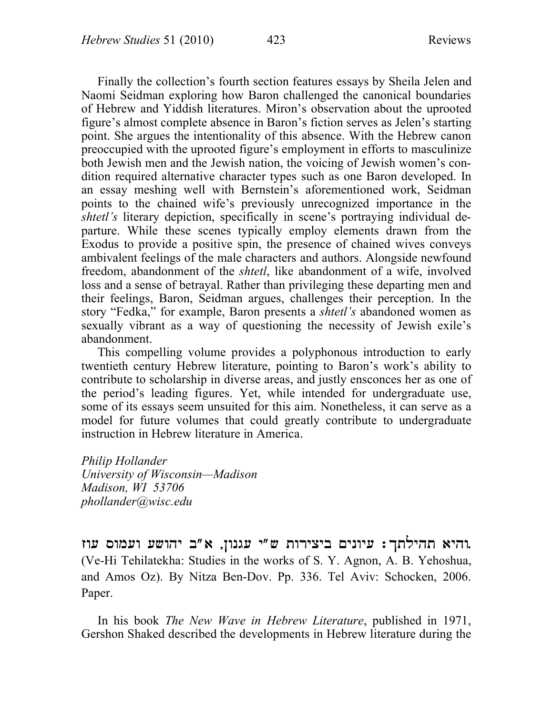Finally the collection's fourth section features essays by Sheila Jelen and Naomi Seidman exploring how Baron challenged the canonical boundaries of Hebrew and Yiddish literatures. Miron's observation about the uprooted figure's almost complete absence in Baron's fiction serves as Jelen's starting point. She argues the intentionality of this absence. With the Hebrew canon preoccupied with the uprooted figure's employment in efforts to masculinize both Jewish men and the Jewish nation, the voicing of Jewish women's condition required alternative character types such as one Baron developed. In an essay meshing well with Bernstein's aforementioned work, Seidman points to the chained wife's previously unrecognized importance in the *shtetl's* literary depiction, specifically in scene's portraying individual departure. While these scenes typically employ elements drawn from the Exodus to provide a positive spin, the presence of chained wives conveys ambivalent feelings of the male characters and authors. Alongside newfound freedom, abandonment of the *shtetl*, like abandonment of a wife, involved loss and a sense of betrayal. Rather than privileging these departing men and their feelings, Baron, Seidman argues, challenges their perception. In the story "Fedka," for example, Baron presents a *shtetl's* abandoned women as sexually vibrant as a way of questioning the necessity of Jewish exile's abandonment.

This compelling volume provides a polyphonous introduction to early twentieth century Hebrew literature, pointing to Baron's work's ability to contribute to scholarship in diverse areas, and justly ensconces her as one of the period's leading figures. Yet, while intended for undergraduate use, some of its essays seem unsuited for this aim. Nonetheless, it can serve as a model for future volumes that could greatly contribute to undergraduate instruction in Hebrew literature in America.

*Philip Hollander University of Wisconsin—Madison Madison, WI 53706 phollander@wisc.edu*

**zwo swmow oCwhy b**″**a ,Nwngo y**″**C twryxyb Mynwyo :Ktlyht ayhw.** (Ve-Hi Tehilatekha: Studies in the works of S. Y. Agnon, A. B. Yehoshua, and Amos Oz). By Nitza Ben-Dov. Pp. 336. Tel Aviv: Schocken, 2006. Paper.

In his book *The New Wave in Hebrew Literature*, published in 1971, Gershon Shaked described the developments in Hebrew literature during the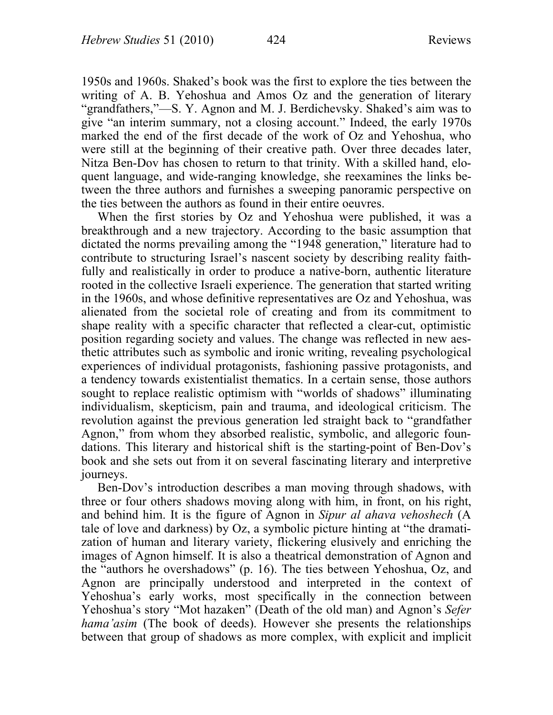1950s and 1960s. Shaked's book was the first to explore the ties between the writing of A. B. Yehoshua and Amos Oz and the generation of literary "grandfathers,"—S. Y. Agnon and M. J. Berdichevsky. Shaked's aim was to give "an interim summary, not a closing account." Indeed, the early 1970s marked the end of the first decade of the work of Oz and Yehoshua, who were still at the beginning of their creative path. Over three decades later, Nitza Ben-Dov has chosen to return to that trinity. With a skilled hand, eloquent language, and wide-ranging knowledge, she reexamines the links between the three authors and furnishes a sweeping panoramic perspective on the ties between the authors as found in their entire oeuvres.

When the first stories by Oz and Yehoshua were published, it was a breakthrough and a new trajectory. According to the basic assumption that dictated the norms prevailing among the "1948 generation," literature had to contribute to structuring Israel's nascent society by describing reality faithfully and realistically in order to produce a native-born, authentic literature rooted in the collective Israeli experience. The generation that started writing in the 1960s, and whose definitive representatives are Oz and Yehoshua, was alienated from the societal role of creating and from its commitment to shape reality with a specific character that reflected a clear-cut, optimistic position regarding society and values. The change was reflected in new aesthetic attributes such as symbolic and ironic writing, revealing psychological experiences of individual protagonists, fashioning passive protagonists, and a tendency towards existentialist thematics. In a certain sense, those authors sought to replace realistic optimism with "worlds of shadows" illuminating individualism, skepticism, pain and trauma, and ideological criticism. The revolution against the previous generation led straight back to "grandfather Agnon," from whom they absorbed realistic, symbolic, and allegoric foundations. This literary and historical shift is the starting-point of Ben-Dov's book and she sets out from it on several fascinating literary and interpretive journeys.

Ben-Dov's introduction describes a man moving through shadows, with three or four others shadows moving along with him, in front, on his right, and behind him. It is the figure of Agnon in *Sipur al ahava vehoshech* (A tale of love and darkness) by Oz, a symbolic picture hinting at "the dramatization of human and literary variety, flickering elusively and enriching the images of Agnon himself. It is also a theatrical demonstration of Agnon and the "authors he overshadows" (p. 16). The ties between Yehoshua, Oz, and Agnon are principally understood and interpreted in the context of Yehoshua's early works, most specifically in the connection between Yehoshua's story "Mot hazaken" (Death of the old man) and Agnon's *Sefer hama'asim* (The book of deeds). However she presents the relationships between that group of shadows as more complex, with explicit and implicit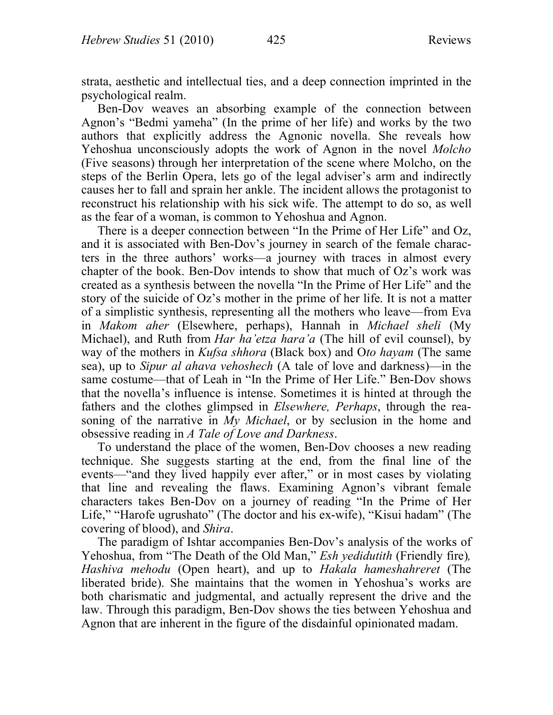strata, aesthetic and intellectual ties, and a deep connection imprinted in the psychological realm.

Ben-Dov weaves an absorbing example of the connection between Agnon's "Bedmi yameha" (In the prime of her life) and works by the two authors that explicitly address the Agnonic novella. She reveals how Yehoshua unconsciously adopts the work of Agnon in the novel *Molcho*  (Five seasons) through her interpretation of the scene where Molcho, on the steps of the Berlin Opera, lets go of the legal adviser's arm and indirectly causes her to fall and sprain her ankle. The incident allows the protagonist to reconstruct his relationship with his sick wife. The attempt to do so, as well as the fear of a woman, is common to Yehoshua and Agnon.

There is a deeper connection between "In the Prime of Her Life" and Oz, and it is associated with Ben-Dov's journey in search of the female characters in the three authors' works—a journey with traces in almost every chapter of the book. Ben-Dov intends to show that much of Oz's work was created as a synthesis between the novella "In the Prime of Her Life" and the story of the suicide of Oz's mother in the prime of her life. It is not a matter of a simplistic synthesis, representing all the mothers who leave—from Eva in *Makom aher* (Elsewhere, perhaps), Hannah in *Michael sheli* (My Michael), and Ruth from *Har ha'etza hara'a* (The hill of evil counsel), by way of the mothers in *Kufsa shhora* (Black box) and O*to hayam* (The same sea), up to *Sipur al ahava vehoshech* (A tale of love and darkness)—in the same costume—that of Leah in "In the Prime of Her Life." Ben-Dov shows that the novella's influence is intense. Sometimes it is hinted at through the fathers and the clothes glimpsed in *Elsewhere, Perhaps*, through the reasoning of the narrative in *My Michael*, or by seclusion in the home and obsessive reading in *A Tale of Love and Darkness*.

To understand the place of the women, Ben-Dov chooses a new reading technique. She suggests starting at the end, from the final line of the events—"and they lived happily ever after," or in most cases by violating that line and revealing the flaws. Examining Agnon's vibrant female characters takes Ben-Dov on a journey of reading "In the Prime of Her Life," "Harofe ugrushato" (The doctor and his ex-wife), "Kisui hadam" (The covering of blood), and *Shira*.

The paradigm of Ishtar accompanies Ben-Dov's analysis of the works of Yehoshua, from "The Death of the Old Man," *Esh yedidutith* (Friendly fire)*, Hashiva mehodu* (Open heart), and up to *Hakala hameshahreret* (The liberated bride). She maintains that the women in Yehoshua's works are both charismatic and judgmental, and actually represent the drive and the law. Through this paradigm, Ben-Dov shows the ties between Yehoshua and Agnon that are inherent in the figure of the disdainful opinionated madam.